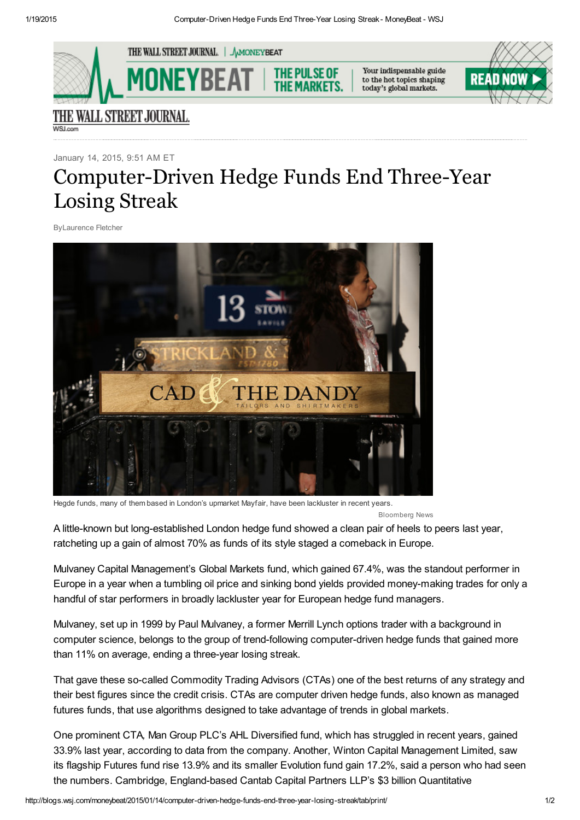

January 14, 2015, 9:51 AM ET

## Computer-Driven Hedge Funds End Three-Year Losing Streak

ByLaurence Fletcher



Hegde funds, many of them based in London's upmarket Mayfair, have been lackluster in recent years.

Bloomberg News

A little-known but long-established London hedge fund showed a clean pair of heels to peers last year, ratcheting up a gain of almost 70% as funds of its style staged a comeback in Europe.

Mulvaney Capital Management's Global Markets fund, which gained 67.4%, was the standout performer in Europe in a year when a tumbling oil price and sinking bond yields provided moneymaking trades for only a handful of star performers in broadly lackluster year for European hedge fund managers.

Mulvaney, set up in 1999 by Paul Mulvaney, a former Merrill Lynch options trader with a background in computer science, belongs to the group of trend-following computer-driven hedge funds that gained more than 11% on average, ending a three-year losing streak.

That gave these so-called Commodity Trading Advisors (CTAs) one of the best returns of any strategy and their best figures since the credit crisis. CTAs are computer driven hedge funds, also known as managed futures funds, that use algorithms designed to take advantage of trends in global markets.

One prominent CTA*,* Man Group PLC's AHL Diversified fund, which has struggled in recent years, gained 33.9% last year, according to data from the company. Another, Winton Capital Management Limited, saw its flagship Futures fund rise 13.9% and its smaller Evolution fund gain 17.2%, said a person who had seen the numbers. Cambridge, England-based Cantab Capital Partners LLP's \$3 billion Quantitative